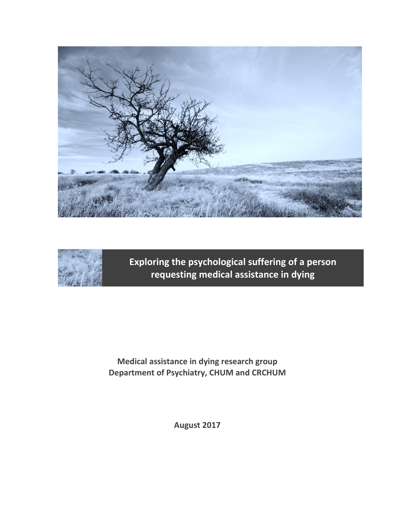



**Exploring the psychological suffering of a person requesting medical assistance in dying**

**Medical assistance in dying research group Department of Psychiatry, CHUM and CRCHUM**

**August 2017**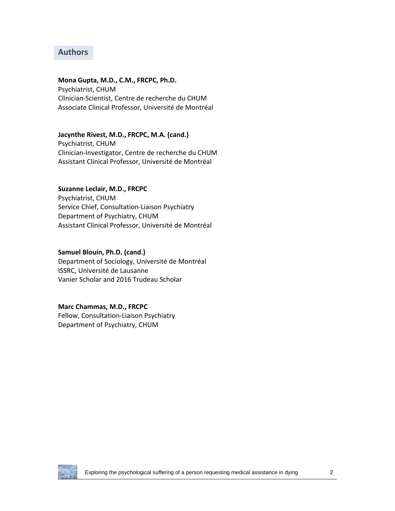# **Authors**

**Mona Gupta, M.D., C.M., FRCPC, Ph.D.** Psychiatrist, CHUM Clinician-Scientist, Centre de recherche du CHUM Associate Clinical Professor, Université de Montréal

#### **Jacynthe Rivest, M.D., FRCPC, M.A. (cand.)**

Psychiatrist, CHUM Clinician-Investigator, Centre de recherche du CHUM Assistant Clinical Professor, Université de Montréal

#### **Suzanne Leclair, M.D., FRCPC**

Psychiatrist, CHUM Service Chief, Consultation-Liaison Psychiatry Department of Psychiatry, CHUM Assistant Clinical Professor, Université de Montréal

#### **Samuel Blouin, Ph.D. (cand.)**

Department of Sociology, Université de Montréal ISSRC, Université de Lausanne Vanier Scholar and 2016 Trudeau Scholar

#### **Marc Chammas, M.D., FRCPC**

Fellow, Consultation-Liaison Psychiatry Department of Psychiatry, CHUM

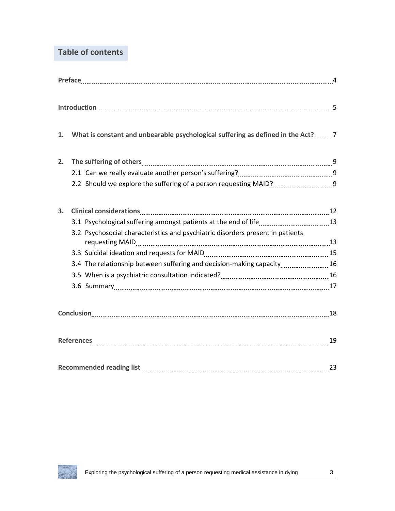# **Table of contents**

| 1. | What is constant and unbearable psychological suffering as defined in the Act? 7                                                                                                                                               |    |  |  |  |
|----|--------------------------------------------------------------------------------------------------------------------------------------------------------------------------------------------------------------------------------|----|--|--|--|
| 2. | The suffering of others 1900 million and the suffering of others 1900 million and the suffering of others 1900 million and the suite of the suite of the suite of the suite of the suite of the suite of the suite of the suit |    |  |  |  |
|    |                                                                                                                                                                                                                                |    |  |  |  |
|    | 2.2 Should we explore the suffering of a person requesting MAID?                                                                                                                                                               |    |  |  |  |
| 3. |                                                                                                                                                                                                                                |    |  |  |  |
|    |                                                                                                                                                                                                                                |    |  |  |  |
|    | 3.2 Psychosocial characteristics and psychiatric disorders present in patients<br>requesting MAID 13 13                                                                                                                        |    |  |  |  |
|    |                                                                                                                                                                                                                                |    |  |  |  |
|    | 3.4 The relationship between suffering and decision-making capacity [16] 16                                                                                                                                                    |    |  |  |  |
|    |                                                                                                                                                                                                                                |    |  |  |  |
|    | 3.6 Summary 17 and 10 and 10 and 10 and 10 and 10 and 10 and 10 and 10 and 10 and 10 and 10 and 10 and 10 and 1                                                                                                                |    |  |  |  |
|    |                                                                                                                                                                                                                                |    |  |  |  |
|    | References 19                                                                                                                                                                                                                  |    |  |  |  |
|    | Recommended reading list                                                                                                                                                                                                       | 23 |  |  |  |

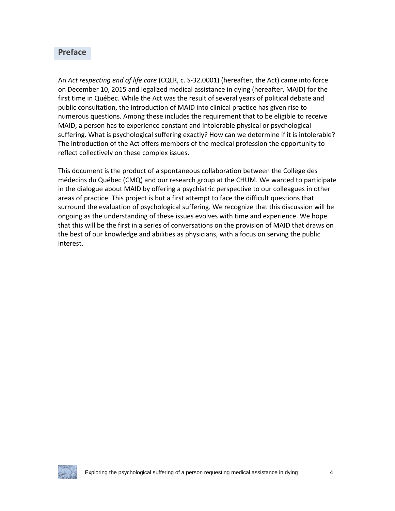#### **Preface**

An *Act respecting end of life care* (CQLR, c. S-32.0001) (hereafter, the Act) came into force on December 10, 2015 and legalized medical assistance in dying (hereafter, MAID) for the first time in Québec. While the Act was the result of several years of political debate and public consultation, the introduction of MAID into clinical practice has given rise to numerous questions. Among these includes the requirement that to be eligible to receive MAID, a person has to experience constant and intolerable physical or psychological suffering. What is psychological suffering exactly? How can we determine if it is intolerable? The introduction of the Act offers members of the medical profession the opportunity to reflect collectively on these complex issues.

This document is the product of a spontaneous collaboration between the Collège des médecins du Québec (CMQ) and our research group at the CHUM. We wanted to participate in the dialogue about MAID by offering a psychiatric perspective to our colleagues in other areas of practice. This project is but a first attempt to face the difficult questions that surround the evaluation of psychological suffering. We recognize that this discussion will be ongoing as the understanding of these issues evolves with time and experience. We hope that this will be the first in a series of conversations on the provision of MAID that draws on the best of our knowledge and abilities as physicians, with a focus on serving the public interest.

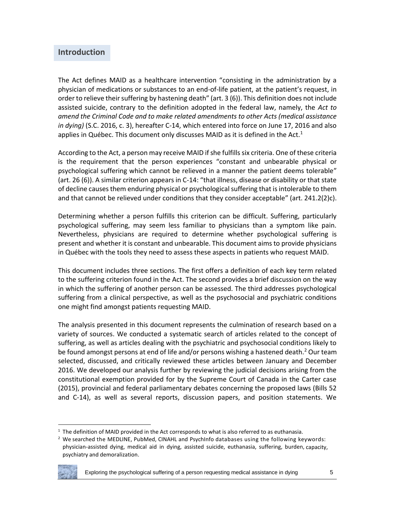# **Introduction**

The Act defines MAID as a healthcare intervention "consisting in the administration by a physician of medications or substances to an end-of-life patient, at the patient's request, in order to relieve their suffering by hastening death" (art. 3 (6)). This definition does not include assisted suicide, contrary to the definition adopted in the federal law, namely, the *Act to amend the Criminal Code and to make related amendments to other Acts (medical assistance in dying)* (S.C. 2016, c. 3), hereafter C-14, which entered into force on June 17, 2016 and also applies in Québec. This document only discusses MAID as it is defined in the Act.<sup>1</sup>

According to the Act, a person may receive MAID if she fulfills six criteria. One of these criteria is the requirement that the person experiences "constant and unbearable physical or psychological suffering which cannot be relieved in a manner the patient deems tolerable" (art. 26 (6)). A similar criterion appears in C-14: "that illness, disease or disability or that state of decline causes them enduring physical or psychological suffering that is intolerable to them and that cannot be relieved under conditions that they consider acceptable" (art.  $241.2(2)c$ ).

Determining whether a person fulfills this criterion can be difficult. Suffering, particularly psychological suffering, may seem less familiar to physicians than a symptom like pain. Nevertheless, physicians are required to determine whether psychological suffering is present and whether it is constant and unbearable. This document aims to provide physicians in Québec with the tools they need to assess these aspects in patients who request MAID.

This document includes three sections. The first offers a definition of each key term related to the suffering criterion found in the Act. The second provides a brief discussion on the way in which the suffering of another person can be assessed. The third addresses psychological suffering from a clinical perspective, as well as the psychosocial and psychiatric conditions one might find amongst patients requesting MAID.

The analysis presented in this document represents the culmination of research based on a variety of sources. We conducted a systematic search of articles related to the concept of suffering, as well as articles dealing with the psychiatric and psychosocial conditions likely to be found amongst persons at end of life and/or persons wishing a hastened death.<sup>2</sup> Our team selected, discussed, and critically reviewed these articles between January and December 2016. We developed our analysis further by reviewing the judicial decisions arising from the constitutional exemption provided for by the Supreme Court of Canada in the Carter case (2015), provincial and federal parliamentary debates concerning the proposed laws (Bills 52 and C-14), as well as several reports, discussion papers, and position statements. We

 $2$  We searched the MEDLINE, PubMed, CINAHL and PsychInfo databases using the following keywords: physician-assisted dying, medical aid in dying, assisted suicide, euthanasia, suffering, burden, capacity, psychiatry and demoralization.



l

<sup>&</sup>lt;sup>1</sup> The definition of MAID provided in the Act corresponds to what is also referred to as euthanasia.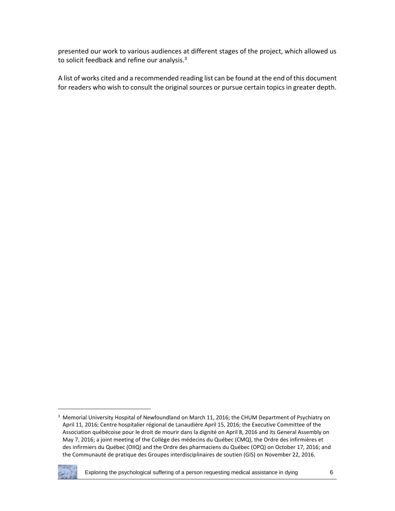presented our work to various audiences at different stages of the project, which allowed us to solicit feedback and refine our analysis.<sup>3</sup>

A list of works cited and a recommended reading list can be found at the end of this document for readers who wish to consult the original sources or pursue certain topics in greater depth.

<sup>&</sup>lt;sup>3</sup> Memorial University Hospital of Newfoundland on March 11, 2016; the CHUM Department of Psychiatry on April 11, 2016; Centre hospitalier régional de Lanaudière April 15, 2016; the Executive Committee of the Association québécoise pour le droit de mourir dans la dignité on April 8, 2016 and its General Assembly on May 7, 2016; a joint meeting of the Collège des médecins du Québec (CMQ), the Ordre des infirmières et des infirmiers du Québec (OIIQ) and the Ordre des pharmaciens du Québec (OPQ) on October 17, 2016; and the Communauté de pratique des Groupes interdisciplinaires de soutien (GIS) on November 22, 2016.



 $\overline{\phantom{a}}$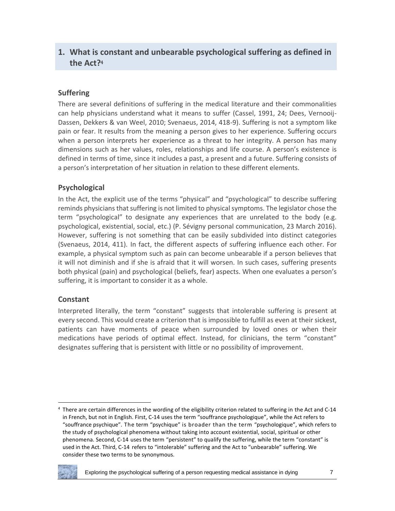# **1. What is constant and unbearable psychological suffering as defined in the Act?**<sup>4</sup>

# **Suffering**

There are several definitions of suffering in the medical literature and their commonalities can help physicians understand what it means to suffer (Cassel, 1991, 24; Dees, Vernooij-Dassen, Dekkers & van Weel, 2010; Svenaeus, 2014, 418-9). Suffering is not a symptom like pain or fear. It results from the meaning a person gives to her experience. Suffering occurs when a person interprets her experience as a threat to her integrity. A person has many dimensions such as her values, roles, relationships and life course. A person's existence is defined in terms of time, since it includes a past, a present and a future. Suffering consists of a person's interpretation of her situation in relation to these different elements.

## **Psychological**

In the Act, the explicit use of the terms "physical" and "psychological" to describe suffering reminds physicians that suffering is not limited to physical symptoms. The legislator chose the term "psychological" to designate any experiences that are unrelated to the body (e.g. psychological, existential, social, etc.) (P. Sévigny personal communication, 23 March 2016). However, suffering is not something that can be easily subdivided into distinct categories (Svenaeus, 2014, 411)*.* In fact, the different aspects of suffering influence each other. For example, a physical symptom such as pain can become unbearable if a person believes that it will not diminish and if she is afraid that it will worsen. In such cases, suffering presents both physical (pain) and psychological (beliefs, fear) aspects. When one evaluates a person's suffering, it is important to consider it as a whole.

#### **Constant**

Interpreted literally, the term "constant" suggests that intolerable suffering is present at every second. This would create a criterion that is impossible to fulfill as even at their sickest, patients can have moments of peace when surrounded by loved ones or when their medications have periods of optimal effect. Instead, for clinicians, the term "constant" designates suffering that is persistent with little or no possibility of improvement.

 $4$  There are certain differences in the wording of the eligibility criterion related to suffering in the Act and C-14 in French, but not in English. First, C-14 uses the term "souffrance psychologique", while the Act refers to "souffrance psychique". The term "psychique" is broader than the term "psychologique", which refers to the study of psychological phenomena without taking into account existential, social, spiritual or other phenomena. Second, C-14 uses the term "persistent" to qualify the suffering, while the term "constant" is used in the Act. Third, C-14 refers to "intolerable" suffering and the Act to "unbearable" suffering. We consider these two terms to be synonymous.



 $\overline{\phantom{a}}$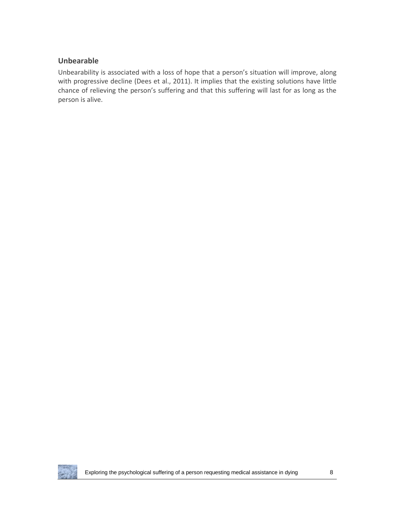## **Unbearable**

Unbearability is associated with a loss of hope that a person's situation will improve, along with progressive decline (Dees et al., 2011). It implies that the existing solutions have little chance of relieving the person's suffering and that this suffering will last for as long as the person is alive.

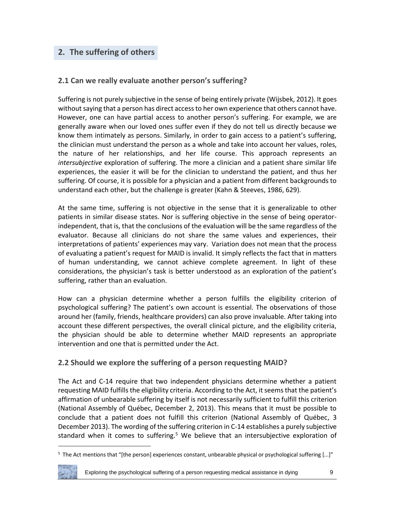# **2. The suffering of others**

## **2.1 Can we really evaluate another person's suffering?**

Suffering is not purely subjective in the sense of being entirely private (Wijsbek, 2012). It goes without saying that a person has direct access to her own experience that others cannot have. However, one can have partial access to another person's suffering. For example, we are generally aware when our loved ones suffer even if they do not tell us directly because we know them intimately as persons. Similarly, in order to gain access to a patient's suffering, the clinician must understand the person as a whole and take into account her values, roles, the nature of her relationships, and her life course. This approach represents an *intersubjective* exploration of suffering. The more a clinician and a patient share similar life experiences, the easier it will be for the clinician to understand the patient, and thus her suffering. Of course, it is possible for a physician and a patient from different backgrounds to understand each other, but the challenge is greater (Kahn & Steeves, 1986, 629).

At the same time, suffering is not objective in the sense that it is generalizable to other patients in similar disease states. Nor is suffering objective in the sense of being operatorindependent, that is, that the conclusions of the evaluation will be the same regardless of the evaluator. Because all clinicians do not share the same values and experiences, their interpretations of patients' experiences may vary. Variation does not mean that the process of evaluating a patient's request for MAID is invalid. It simply reflects the fact that in matters of human understanding, we cannot achieve complete agreement. In light of these considerations, the physician's task is better understood as an exploration of the patient's suffering, rather than an evaluation.

How can a physician determine whether a person fulfills the eligibility criterion of psychological suffering? The patient's own account is essential. The observations of those around her (family, friends, healthcare providers) can also prove invaluable. After taking into account these different perspectives, the overall clinical picture, and the eligibility criteria, the physician should be able to determine whether MAID represents an appropriate intervention and one that is permitted under the Act.

#### **2.2 Should we explore the suffering of a person requesting MAID?**

The Act and C-14 require that two independent physicians determine whether a patient requesting MAID fulfills the eligibility criteria. According to the Act, it seems that the patient's affirmation of unbearable suffering by itself is not necessarily sufficient to fulfill this criterion (National Assembly of Québec, December 2, 2013). This means that it must be possible to conclude that a patient does not fulfill this criterion (National Assembly of Québec, 3 December 2013). The wording of the suffering criterion in C-14 establishes a purely subjective standard when it comes to suffering.<sup>5</sup> We believe that an intersubjective exploration of

 $5$  The Act mentions that "[the person] experiences constant, unbearable physical or psychological suffering [...]"



l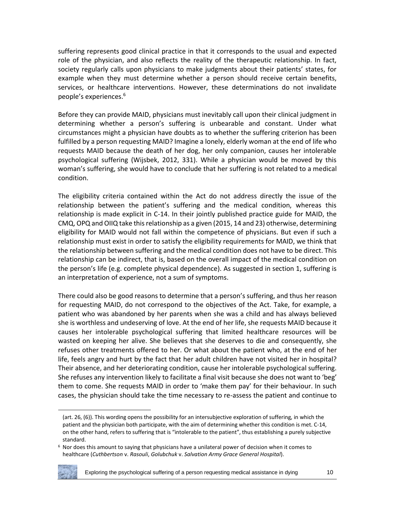suffering represents good clinical practice in that it corresponds to the usual and expected role of the physician, and also reflects the reality of the therapeutic relationship. In fact, society regularly calls upon physicians to make judgments about their patients' states, for example when they must determine whether a person should receive certain benefits, services, or healthcare interventions. However, these determinations do not invalidate people's experiences.<sup>6</sup>

Before they can provide MAID, physicians must inevitably call upon their clinical judgment in determining whether a person's suffering is unbearable and constant. Under what circumstances might a physician have doubts as to whether the suffering criterion has been fulfilled by a person requesting MAID? Imagine a lonely, elderly woman at the end of life who requests MAID because the death of her dog, her only companion, causes her intolerable psychological suffering (Wijsbek, 2012, 331). While a physician would be moved by this woman's suffering, she would have to conclude that her suffering is not related to a medical condition.

The eligibility criteria contained within the Act do not address directly the issue of the relationship between the patient's suffering and the medical condition, whereas this relationship is made explicit in C-14. In their jointly published practice guide for MAID, the CMQ, OPQ and OIIQ take this relationship as a given (2015, 14 and 23) otherwise, determining eligibility for MAID would not fall within the competence of physicians. But even if such a relationship must exist in order to satisfy the eligibility requirements for MAID, we think that the relationship between suffering and the medical condition does not have to be direct. This relationship can be indirect, that is, based on the overall impact of the medical condition on the person's life (e.g. complete physical dependence). As suggested in section 1, suffering is an interpretation of experience, not a sum of symptoms.

There could also be good reasons to determine that a person's suffering, and thus her reason for requesting MAID, do not correspond to the objectives of the Act. Take, for example, a patient who was abandoned by her parents when she was a child and has always believed she is worthless and undeserving of love. At the end of her life, she requests MAID because it causes her intolerable psychological suffering that limited healthcare resources will be wasted on keeping her alive. She believes that she deserves to die and consequently, she refuses other treatments offered to her. Or what about the patient who, at the end of her life, feels angry and hurt by the fact that her adult children have not visited her in hospital? Their absence, and her deteriorating condition, cause her intolerable psychological suffering. She refuses any intervention likely to facilitate a final visit because she does not want to 'beg' them to come. She requests MAID in order to 'make them pay' for their behaviour. In such cases, the physician should take the time necessary to re-assess the patient and continue to

 $6$  Nor does this amount to saying that physicians have a unilateral power of decision when it comes to healthcare (*Cuthbertson* v. *Rasouli*, *Golubchuk* v. *Salvation Army Grace General Hospital*).



l

<sup>(</sup>art. 26, (6)). This wording opens the possibility for an intersubjective exploration of suffering, in which the patient and the physician both participate, with the aim of determining whether this condition is met. C-14, on the other hand, refers to suffering that is "intolerable to the patient", thus establishing a purely subjective standard.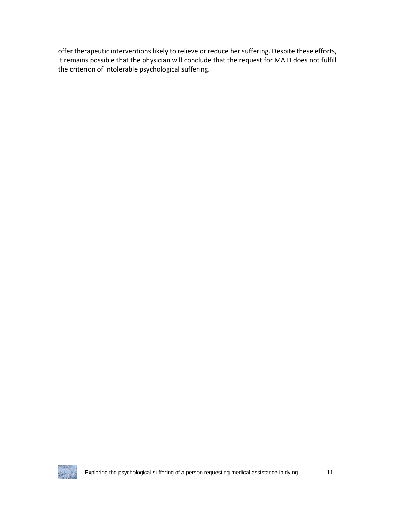offer therapeutic interventions likely to relieve or reduce her suffering. Despite these efforts, it remains possible that the physician will conclude that the request for MAID does not fulfill the criterion of intolerable psychological suffering.

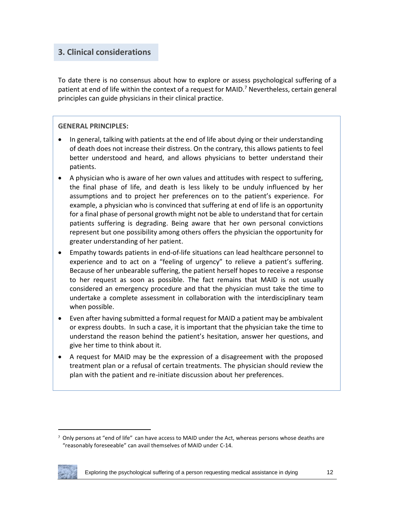# **3. Clinical considerations**

To date there is no consensus about how to explore or assess psychological suffering of a patient at end of life within the context of a request for MAID.<sup>7</sup> Nevertheless, certain general principles can guide physicians in their clinical practice.

#### **GENERAL PRINCIPLES:**

- In general, talking with patients at the end of life about dying or their understanding of death does not increase their distress. On the contrary, this allows patients to feel better understood and heard, and allows physicians to better understand their patients.
- A physician who is aware of her own values and attitudes with respect to suffering, the final phase of life, and death is less likely to be unduly influenced by her assumptions and to project her preferences on to the patient's experience. For example, a physician who is convinced that suffering at end of life is an opportunity for a final phase of personal growth might not be able to understand that for certain patients suffering is degrading. Being aware that her own personal convictions represent but one possibility among others offers the physician the opportunity for greater understanding of her patient.
- Empathy towards patients in end-of-life situations can lead healthcare personnel to experience and to act on a "feeling of urgency" to relieve a patient's suffering. Because of her unbearable suffering, the patient herself hopes to receive a response to her request as soon as possible. The fact remains that MAID is not usually considered an emergency procedure and that the physician must take the time to undertake a complete assessment in collaboration with the interdisciplinary team when possible.
- Even after having submitted a formal request for MAID a patient may be ambivalent or express doubts. In such a case, it is important that the physician take the time to understand the reason behind the patient's hesitation, answer her questions, and give her time to think about it.
- A request for MAID may be the expression of a disagreement with the proposed treatment plan or a refusal of certain treatments. The physician should review the plan with the patient and re-initiate discussion about her preferences.

 $7$  Only persons at "end of life" can have access to MAID under the Act, whereas persons whose deaths are "reasonably foreseeable" can avail themselves of MAID under C-14.



 $\overline{\phantom{a}}$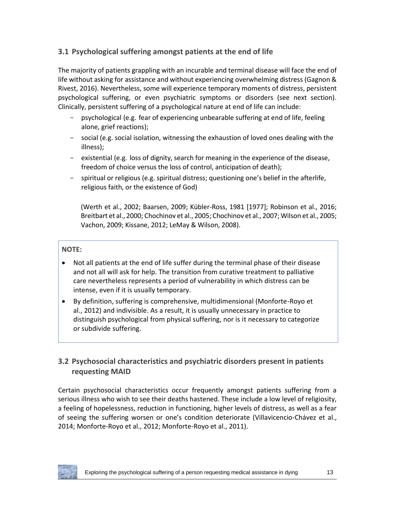# **3.1 Psychological suffering amongst patients at the end of life**

The majority of patients grappling with an incurable and terminal disease will face the end of life without asking for assistance and without experiencing overwhelming distress (Gagnon & Rivest, 2016). Nevertheless, some will experience temporary moments of distress, persistent psychological suffering, or even psychiatric symptoms or disorders (see next section). Clinically, persistent suffering of a psychological nature at end of life can include:

- psychological (e.g. fear of experiencing unbearable suffering at end of life, feeling alone, grief reactions);
- social (e.g. social isolation, witnessing the exhaustion of loved ones dealing with the illness);
- existential (e.g. loss of dignity, search for meaning in the experience of the disease, freedom of choice versus the loss of control, anticipation of death);
- spiritual or religious (e.g. spiritual distress; questioning one's belief in the afterlife, religious faith, or the existence of God)

(Werth et al., 2002; Baarsen, 2009; Kübler-Ross, 1981 [1977]; Robinson et al., 2016; Breitbart et al., 2000; Chochinov et al., 2005; Chochinov et al., 2007; Wilson et al., 2005; Vachon, 2009; Kissane, 2012; LeMay & Wilson, 2008).

## **NOTE:**

- Not all patients at the end of life suffer during the terminal phase of their disease and not all will ask for help. The transition from curative treatment to palliative care nevertheless represents a period of vulnerability in which distress can be intense, even if it is usually temporary.
- By definition, suffering is comprehensive, multidimensional (Monforte-Royo et al., 2012) and indivisible. As a result, it is usually unnecessary in practice to distinguish psychological from physical suffering, nor is it necessary to categorize or subdivide suffering.

# **3.2 Psychosocial characteristics and psychiatric disorders present in patients requesting MAID**

Certain psychosocial characteristics occur frequently amongst patients suffering from a serious illness who wish to see their deaths hastened. These include a low level of religiosity, a feeling of hopelessness, reduction in functioning, higher levels of distress, as well as a fear of seeing the suffering worsen or one's condition deteriorate (Villavicencio-Chávez et al., 2014; Monforte-Royo et al., 2012; Monforte-Royo et al., 2011).

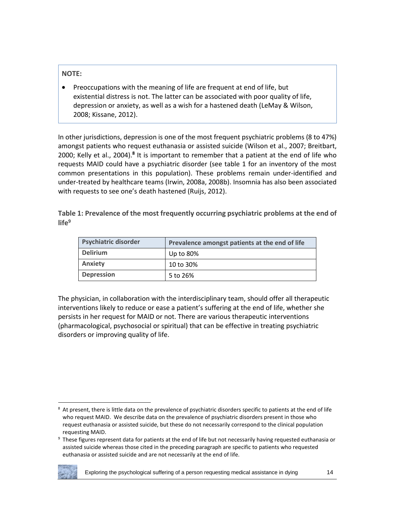#### **NOTE:**

• Preoccupations with the meaning of life are frequent at end of life, but existential distress is not. The latter can be associated with poor quality of life, depression or anxiety, as well as a wish for a hastened death (LeMay & Wilson, 2008; Kissane, 2012).

In other jurisdictions, depression is one of the most frequent psychiatric problems (8 to 47%) amongst patients who request euthanasia or assisted suicide (Wilson et al., 2007; Breitbart, 2000; Kelly et al., 2004).<sup>8</sup> It is important to remember that a patient at the end of life who requests MAID could have a psychiatric disorder (see table 1 for an inventory of the most common presentations in this population). These problems remain under-identified and under-treated by healthcare teams (Irwin, 2008a, 2008b). Insomnia has also been associated with requests to see one's death hastened (Ruijs, 2012).

**Table 1: Prevalence of the most frequently occurring psychiatric problems at the end of life<sup>9</sup>**

| <b>Psychiatric disorder</b> | Prevalence amongst patients at the end of life |  |
|-----------------------------|------------------------------------------------|--|
| <b>Delirium</b>             | Up to 80%                                      |  |
| <b>Anxiety</b>              | 10 to 30%                                      |  |
| <b>Depression</b>           | 5 to 26%                                       |  |

The physician, in collaboration with the interdisciplinary team, should offer all therapeutic interventions likely to reduce or ease a patient's suffering at the end of life, whether she persists in her request for MAID or not. There are various therapeutic interventions (pharmacological, psychosocial or spiritual) that can be effective in treating psychiatric disorders or improving quality of life.

<sup>&</sup>lt;sup>9</sup> These figures represent data for patients at the end of life but not necessarily having requested euthanasia or assisted suicide whereas those cited in the preceding paragraph are specific to patients who requested euthanasia or assisted suicide and are not necessarily at the end of life.



 $\overline{\phantom{a}}$ 

<sup>&</sup>lt;sup>8</sup> At present, there is little data on the prevalence of psychiatric disorders specific to patients at the end of life who request MAID. We describe data on the prevalence of psychiatric disorders present in those who request euthanasia or assisted suicide, but these do not necessarily correspond to the clinical population requesting MAID.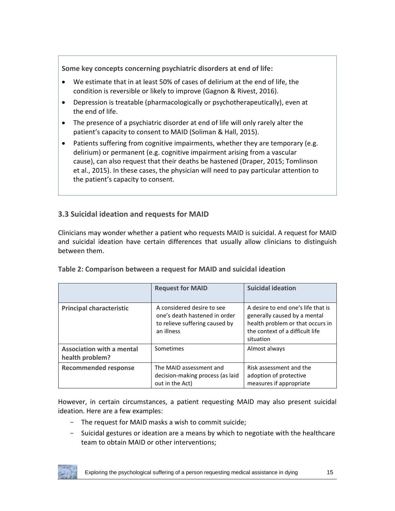**Some key concepts concerning psychiatric disorders at end of life:**

- We estimate that in at least 50% of cases of delirium at the end of life, the condition is reversible or likely to improve (Gagnon & Rivest, 2016).
- Depression is treatable (pharmacologically or psychotherapeutically), even at the end of life.
- The presence of a psychiatric disorder at end of life will only rarely alter the patient's capacity to consent to MAID (Soliman & Hall, 2015).
- Patients suffering from cognitive impairments, whether they are temporary (e.g. delirium) or permanent (e.g. cognitive impairment arising from a vascular cause), can also request that their deaths be hastened (Draper, 2015; Tomlinson et al., 2015). In these cases, the physician will need to pay particular attention to the patient's capacity to consent.

# **3.3 Suicidal ideation and requests for MAID**

Clinicians may wonder whether a patient who requests MAID is suicidal. A request for MAID and suicidal ideation have certain differences that usually allow clinicians to distinguish between them.

|                                                     | <b>Request for MAID</b>                                                                                     | <b>Suicidal ideation</b>                                                                                                                               |
|-----------------------------------------------------|-------------------------------------------------------------------------------------------------------------|--------------------------------------------------------------------------------------------------------------------------------------------------------|
| <b>Principal characteristic</b>                     | A considered desire to see<br>one's death hastened in order<br>to relieve suffering caused by<br>an illness | A desire to end one's life that is<br>generally caused by a mental<br>health problem or that occurs in<br>the context of a difficult life<br>situation |
| <b>Association with a mental</b><br>health problem? | Sometimes                                                                                                   | Almost always                                                                                                                                          |
| <b>Recommended response</b>                         | The MAID assessment and<br>decision-making process (as laid<br>out in the Act)                              | Risk assessment and the<br>adoption of protective<br>measures if appropriate                                                                           |

#### **Table 2: Comparison between a request for MAID and suicidal ideation**

However, in certain circumstances, a patient requesting MAID may also present suicidal ideation. Here are a few examples:

- The request for MAID masks a wish to commit suicide;
- Suicidal gestures or ideation are a means by which to negotiate with the healthcare team to obtain MAID or other interventions;

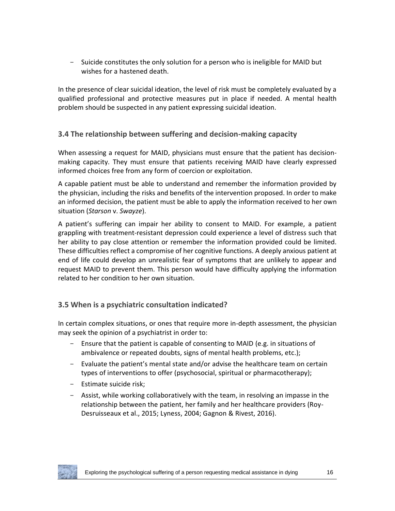- Suicide constitutes the only solution for a person who is ineligible for MAID but wishes for a hastened death.

In the presence of clear suicidal ideation, the level of risk must be completely evaluated by a qualified professional and protective measures put in place if needed. A mental health problem should be suspected in any patient expressing suicidal ideation.

# **3.4 The relationship between suffering and decision-making capacity**

When assessing a request for MAID, physicians must ensure that the patient has decisionmaking capacity. They must ensure that patients receiving MAID have clearly expressed informed choices free from any form of coercion or exploitation.

A capable patient must be able to understand and remember the information provided by the physician, including the risks and benefits of the intervention proposed. In order to make an informed decision, the patient must be able to apply the information received to her own situation (*Starson* v. *Swayze*).

A patient's suffering can impair her ability to consent to MAID. For example, a patient grappling with treatment-resistant depression could experience a level of distress such that her ability to pay close attention or remember the information provided could be limited. These difficulties reflect a compromise of her cognitive functions. A deeply anxious patient at end of life could develop an unrealistic fear of symptoms that are unlikely to appear and request MAID to prevent them. This person would have difficulty applying the information related to her condition to her own situation.

# **3.5 When is a psychiatric consultation indicated?**

In certain complex situations, or ones that require more in-depth assessment, the physician may seek the opinion of a psychiatrist in order to:

- Ensure that the patient is capable of consenting to MAID (e.g. in situations of ambivalence or repeated doubts, signs of mental health problems, etc.);
- Evaluate the patient's mental state and/or advise the healthcare team on certain types of interventions to offer (psychosocial, spiritual or pharmacotherapy);
- Estimate suicide risk;
- Assist, while working collaboratively with the team, in resolving an impasse in the relationship between the patient, her family and her healthcare providers (Roy-Desruisseaux et al., 2015; Lyness, 2004; Gagnon & Rivest, 2016).

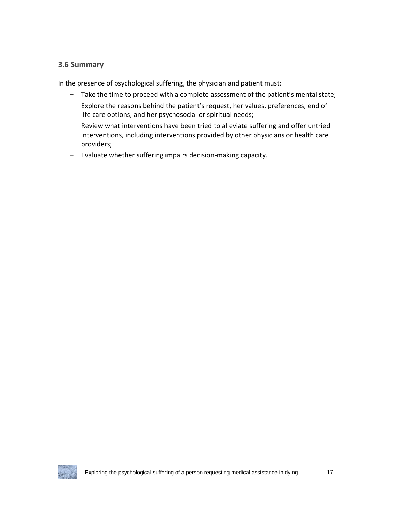## **3.6 Summary**

In the presence of psychological suffering, the physician and patient must:

- Take the time to proceed with a complete assessment of the patient's mental state;
- Explore the reasons behind the patient's request, her values, preferences, end of life care options, and her psychosocial or spiritual needs;
- Review what interventions have been tried to alleviate suffering and offer untried interventions, including interventions provided by other physicians or health care providers;
- Evaluate whether suffering impairs decision-making capacity.

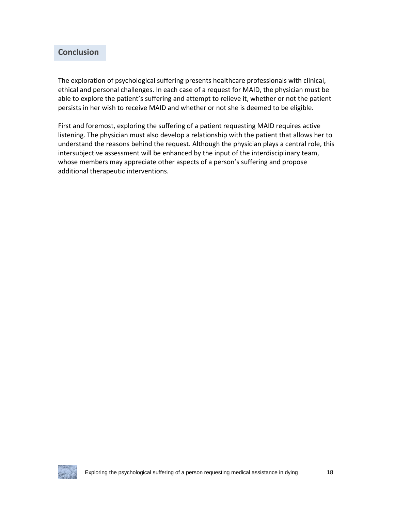# **Conclusion**

The exploration of psychological suffering presents healthcare professionals with clinical, ethical and personal challenges. In each case of a request for MAID, the physician must be able to explore the patient's suffering and attempt to relieve it, whether or not the patient persists in her wish to receive MAID and whether or not she is deemed to be eligible.

First and foremost, exploring the suffering of a patient requesting MAID requires active listening. The physician must also develop a relationship with the patient that allows her to understand the reasons behind the request. Although the physician plays a central role, this intersubjective assessment will be enhanced by the input of the interdisciplinary team, whose members may appreciate other aspects of a person's suffering and propose additional therapeutic interventions.

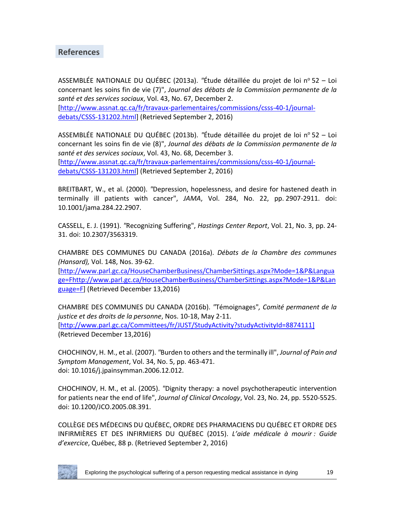# **References**

ASSEMBLÉE NATIONALE DU QUÉBEC (2013a). *"*Étude détaillée du projet de loi n<sup>o</sup> 52 – Loi concernant les soins fin de vie (7)", *Journal des débats de la Commission permanente de la santé et des services sociaux*, Vol. 43, No. 67, December 2. [\[http://www.assnat.qc.ca/fr/travaux-parlementaires/commissions/csss-40-1/journal](http://www.assnat.qc.ca/fr/travaux-parlementaires/commissions/csss-40-1/journal-debats/CSSS-131202.html)[debats/CSSS-131202.html\]](http://www.assnat.qc.ca/fr/travaux-parlementaires/commissions/csss-40-1/journal-debats/CSSS-131202.html) (Retrieved September 2, 2016)

ASSEMBLÉE NATIONALE DU QUÉBEC (2013b). "Étude détaillée du projet de loi nº 52 – Loi concernant les soins fin de vie (8)", *Journal des débats de la Commission permanente de la santé et des services sociaux*, Vol. 43, No. 68, December 3. [\[http://www.assnat.qc.ca/fr/travaux-parlementaires/commissions/csss-40-1/journal](http://www.assnat.qc.ca/fr/travaux-parlementaires/commissions/csss-40-1/journal-debats/CSSS-131203.html)[debats/CSSS-131203.html\]](http://www.assnat.qc.ca/fr/travaux-parlementaires/commissions/csss-40-1/journal-debats/CSSS-131203.html) (Retrieved September 2, 2016)

BREITBART, W., et al. (2000). *"*Depression, hopelessness, and desire for hastened death in terminally ill patients with cancer", *JAMA*, Vol. 284, No. 22, pp. 2907-2911. doi: 10.1001/jama.284.22.2907.

CASSELL, E. J. (1991). *"*Recognizing Suffering", *Hastings Center Report*, Vol. 21, No. 3, pp. 24- 31. doi: 10.2307/3563319.

CHAMBRE DES COMMUNES DU CANADA (2016a). *Débats de la Chambre des communes (Hansard),* Vol. 148, Nos. 39-62.

[\[http://www.parl.gc.ca/HouseChamberBusiness/ChamberSittings.aspx?Mode=1&P&Langua](http://www.parl.gc.ca/HouseChamberBusiness/ChamberSittings.aspx?Mode=1&P&Language=Fhttp://www.parl.gc.ca/HouseChamberBusiness/ChamberSittings.aspx?Mode=1&P&Language=F) [ge=Fhttp://www.parl.gc.ca/HouseChamberBusiness/ChamberSittings.aspx?Mode=1&P&Lan](http://www.parl.gc.ca/HouseChamberBusiness/ChamberSittings.aspx?Mode=1&P&Language=Fhttp://www.parl.gc.ca/HouseChamberBusiness/ChamberSittings.aspx?Mode=1&P&Language=F) [guage=F\]](http://www.parl.gc.ca/HouseChamberBusiness/ChamberSittings.aspx?Mode=1&P&Language=Fhttp://www.parl.gc.ca/HouseChamberBusiness/ChamberSittings.aspx?Mode=1&P&Language=F) (Retrieved December 13,2016)

CHAMBRE DES COMMUNES DU CANADA (2016b). *"*Témoignages"*, Comité permanent de la justice et des droits de la personne*, Nos. 10-18, May 2-11. [\[http://www.parl.gc.ca/Committees/fr/JUST/StudyActivity?studyActivityId=8874111\]](http://www.parl.gc.ca/Committees/fr/JUST/StudyActivity?studyActivityId=8874111) (Retrieved December 13,2016)

CHOCHINOV, H. M., et al. (2007). *"*Burden to others and the terminally ill", *Journal of Pain and Symptom Management*, Vol. 34, No. 5, pp. 463-471. doi: 10.1016/j.jpainsymman.2006.12.012.

CHOCHINOV, H. M., et al. (2005). *"*Dignity therapy: a novel psychotherapeutic intervention for patients near the end of life", *Journal of Clinical Oncology*, Vol. 23, No. 24, pp. 5520-5525. doi: 10.1200/JCO.2005.08.391.

COLLÈGE DES MÉDECINS DU QUÉBEC, ORDRE DES PHARMACIENS DU QUÉBEC ET ORDRE DES INFIRMIÈRES ET DES INFIRMIERS DU QUÉBEC (2015). *L'aide médicale à mourir : Guide d'exercice*, Québec, 88 p. (Retrieved September 2, 2016)

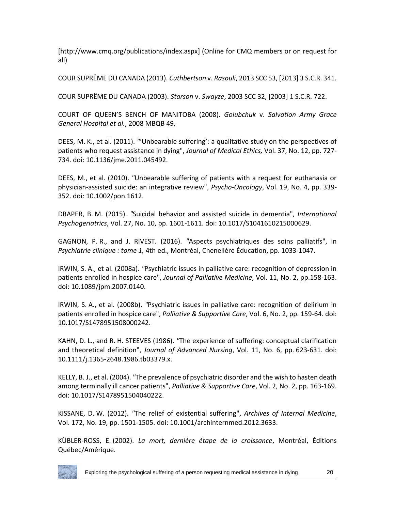[http://www.cmq.org/publications/index.aspx] (Online for CMQ members or on request for all)

COUR SUPRÊME DU CANADA (2013). *Cuthbertson* v*. Rasouli*, 2013 SCC 53, [2013] 3 S.C.R. 341.

COUR SUPRÊME DU CANADA (2003). *Starson* v. *Swayze*, 2003 SCC 32, [2003] 1 S.C.R. 722.

COURT OF QUEEN'S BENCH OF MANITOBA (2008). *Golubchuk* v. *Salvation Army Grace General Hospital et al.*, 2008 MBQB 49.

DEES, M. K., et al. (2011). *"*'Unbearable suffering': a qualitative study on the perspectives of patients who request assistance in dying", *Journal of Medical Ethics,* Vol. 37, No. 12, pp. 727- 734. doi: 10.1136/jme.2011.045492.

DEES, M., et al. (2010). *"*Unbearable suffering of patients with a request for euthanasia or physician-assisted suicide: an integrative review", *Psycho-Oncology*, Vol. 19, No. 4, pp. 339- 352. doi: 10.1002/pon.1612.

DRAPER, B. M. (2015). *"*Suicidal behavior and assisted suicide in dementia", *International Psychogeriatrics*, Vol. 27, No. 10, pp. 1601-1611. doi: 10.1017/S1041610215000629.

GAGNON, P. R., and J. RIVEST. (2016). *"*Aspects psychiatriques des soins palliatifs", in *Psychiatrie clinique : tome 1,* 4th ed., Montréal, Chenelière Éducation, pp. 1033-1047.

IRWIN, S. A., et al. (2008a). *"*Psychiatric issues in palliative care: recognition of depression in patients enrolled in hospice care", *Journal of Palliative Medicine*, Vol. 11, No. 2, pp.158-163. doi: 10.1089/jpm.2007.0140.

IRWIN, S. A., et al. (2008b). *"*Psychiatric issues in palliative care: recognition of delirium in patients enrolled in hospice care", *Palliative & Supportive Care*, Vol. 6, No. 2, pp. 159-64. doi: 10.1017/S1478951508000242.

KAHN, D. L., and R. H. STEEVES (1986). *"*The experience of suffering: conceptual clarification and theoretical definition", *Journal of Advanced Nursing*, Vol. 11, No. 6, pp. 623-631. doi: 10.1111/j.1365-2648.1986.tb03379.x.

KELLY, B. J., et al. (2004). *"*The prevalence of psychiatric disorder and the wish to hasten death among terminally ill cancer patients", *Palliative & Supportive Care*, Vol. 2, No. 2, pp. 163-169. doi: 10.1017/S1478951504040222.

KISSANE, D. W. (2012). *"*The relief of existential suffering", *Archives of Internal Medicine*, Vol. 172, No. 19, pp. 1501-1505. doi: 10.1001/archinternmed.2012.3633.

KÜBLER-ROSS, E. (2002). *La mort, dernière étape de la croissance*, Montréal, Éditions Québec/Amérique.

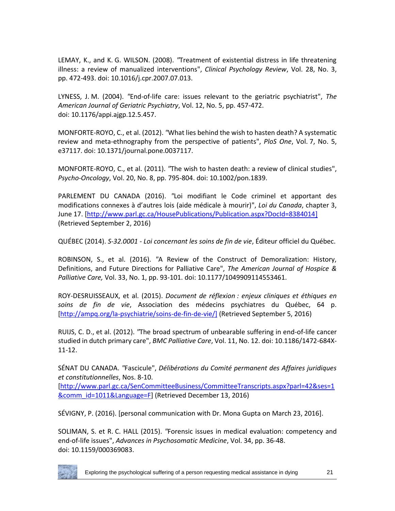LEMAY, K., and K. G. WILSON. (2008). *"*Treatment of existential distress in life threatening illness: a review of manualized interventions", *Clinical Psychology Review*, Vol. 28, No. 3, pp. 472-493. doi: 10.1016/j.cpr.2007.07.013.

LYNESS, J. M. (2004). *"*End-of-life care: issues relevant to the geriatric psychiatrist", *The American Journal of Geriatric Psychiatry*, Vol. 12, No. 5, pp. 457-472. doi: 10.1176/appi.ajgp.12.5.457.

MONFORTE-ROYO, C., et al. (2012). *"*What lies behind the wish to hasten death? A systematic review and meta-ethnography from the perspective of patients", *PloS One*, Vol. 7, No. 5, e37117. doi: 10.1371/journal.pone.0037117.

MONFORTE-ROYO, C., et al. (2011). *"*The wish to hasten death: a review of clinical studies", *Psycho-Oncology*, Vol. 20, No. 8, pp. 795-804. doi: 10.1002/pon.1839.

PARLEMENT DU CANADA (2016). *"*Loi modifiant le Code criminel et apportant des modifications connexes à d'autres lois (aide médicale à mourir)", *Loi du Canada*, chapter 3, June 17. [\[http://www.parl.gc.ca/HousePublications/Publication.aspx?DocId=8384014\]](http://www.parl.gc.ca/HousePublications/Publication.aspx?DocId=8384014) (Retrieved September 2, 2016)

QUÉBEC (2014). *S-32.0001 - Loi concernant les soins de fin de vie*, Éditeur officiel du Québec.

ROBINSON, S., et al. (2016). *"*A Review of the Construct of Demoralization: History, Definitions, and Future Directions for Palliative Care", *The American Journal of Hospice & Palliative Care,* Vol. 33, No. 1, pp. 93-101. doi: 10.1177/1049909114553461.

ROY-DESRUISSEAUX, et al. (2015). *Document de réflexion : enjeux cliniques et éthiques en soins de fin de vie*, Association des médecins psychiatres du Québec, 64 p. [\[http://ampq.org/la-psychiatrie/soins-de-fin-de-vie/\]](http://ampq.org/la-psychiatrie/soins-de-fin-de-vie/) (Retrieved September 5, 2016)

RUIJS, C. D., et al. (2012). *"*The broad spectrum of unbearable suffering in end-of-life cancer studied in dutch primary care", *BMC Palliative Care*, Vol. 11, No. 12. doi: 10.1186/1472-684X-11-12.

SÉNAT DU CANADA. *"*Fascicule", *Délibérations du Comité permanent des Affaires juridiques et constitutionnelles*, Nos. 8-10.

[\[http://www.parl.gc.ca/SenCommitteeBusiness/CommitteeTranscripts.aspx?parl=42&ses=1](http://www.parl.gc.ca/SenCommitteeBusiness/CommitteeTranscripts.aspx?parl=42&ses=1&comm_id=1011&Language=F) [&comm\\_id=1011&Language=F\]](http://www.parl.gc.ca/SenCommitteeBusiness/CommitteeTranscripts.aspx?parl=42&ses=1&comm_id=1011&Language=F) (Retrieved December 13, 2016)

SÉVIGNY, P. (2016). [personal communication with Dr. Mona Gupta on March 23, 2016].

SOLIMAN, S. et R. C. HALL (2015). *"*Forensic issues in medical evaluation: competency and end-of-life issues", *Advances in Psychosomatic Medicine*, Vol. 34, pp. 36-48. doi: 10.1159/000369083.

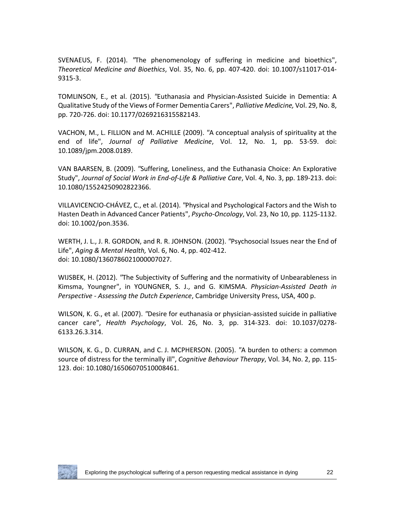SVENAEUS, F. (2014). *"*The phenomenology of suffering in medicine and bioethics", *Theoretical Medicine and Bioethics*, Vol. 35, No. 6, pp. 407-420. doi: 10.1007/s11017-014- 9315-3.

TOMLINSON, E., et al. (2015). *"*Euthanasia and Physician-Assisted Suicide in Dementia: A Qualitative Study of the Views of Former Dementia Carers", *Palliative Medicine,* Vol. 29, No. 8, pp. 720-726. doi: 10.1177/0269216315582143.

VACHON, M., L. FILLION and M. ACHILLE (2009). *"*A conceptual analysis of spirituality at the end of life", *Journal of Palliative Medicine*, Vol. 12, No. 1, pp. 53-59. doi: 10.1089/jpm.2008.0189.

VAN BAARSEN, B. (2009). *"*Suffering, Loneliness, and the Euthanasia Choice: An Explorative Study", *Journal of Social Work in End-of-Life & Palliative Care*, Vol. 4, No. 3, pp. 189-213. doi: 10.1080/15524250902822366.

VILLAVICENCIO-CHÁVEZ, C., et al. (2014). *"*Physical and Psychological Factors and the Wish to Hasten Death in Advanced Cancer Patients", *Psycho-Oncology*, Vol. 23, No 10, pp. 1125-1132. doi: 10.1002/pon.3536.

WERTH, J. L., J. R. GORDON, and R. R. JOHNSON. (2002). *"*Psychosocial Issues near the End of Life", *Aging & Mental Health,* Vol. 6, No. 4, pp. 402-412. doi: 10.1080/1360786021000007027.

WIJSBEK, H. (2012). *"*The Subjectivity of Suffering and the normativity of Unbearableness in Kimsma, Youngner", in YOUNGNER, S. J., and G. KIMSMA. *Physician-Assisted Death in Perspective - Assessing the Dutch Experience*, Cambridge University Press, USA, 400 p.

WILSON, K. G., et al. (2007). *"*Desire for euthanasia or physician-assisted suicide in palliative cancer care", *Health Psychology*, Vol. 26, No. 3, pp. 314-323. doi: 10.1037/0278- 6133.26.3.314.

WILSON, K. G., D. CURRAN, and C. J. MCPHERSON. (2005). *"*A burden to others: a common source of distress for the terminally ill", *Cognitive Behaviour Therapy*, Vol. 34, No. 2, pp. 115- 123. doi: 10.1080/16506070510008461.

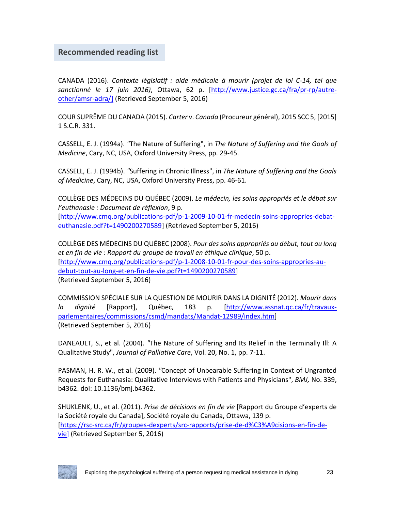# **Recommended reading list**

CANADA (2016). *Contexte législatif : aide médicale à mourir (projet de loi C-14, tel que sanctionné le 17 juin 2016)*, Ottawa, 62 p. [\[http://www.justice.gc.ca/fra/pr-rp/autre](http://www.justice.gc.ca/fra/pr-rp/autre-other/amsr-adra/)[other/amsr-adra/\]](http://www.justice.gc.ca/fra/pr-rp/autre-other/amsr-adra/) (Retrieved September 5, 2016)

COUR SUPRÊME DU CANADA (2015). *Carter* v. *Canada* (Procureur général), 2015 SCC 5, [2015] 1 S.C.R. 331.

CASSELL, E. J. (1994a). *"*The Nature of Suffering", in *The Nature of Suffering and the Goals of Medicine*, Cary, NC, USA, Oxford University Press, pp. 29-45.

CASSELL, E. J. (1994b). *"*Suffering in Chronic Illness", in *The Nature of Suffering and the Goals of Medicine*, Cary, NC, USA, Oxford University Press, pp. 46-61.

COLLÈGE DES MÉDECINS DU QUÉBEC (2009). *Le médecin, les soins appropriés et le débat sur l'euthanasie : Document de réflexion*, 9 p. [\[http://www.cmq.org/publications-pdf/p-1-2009-10-01-fr-medecin-soins-appropries-debat](http://www.cmq.org/publications-pdf/p-1-2009-10-01-fr-medecin-soins-appropries-debat-euthanasie.pdf?t=1490200270589)[euthanasie.pdf?t=1490200270589\]](http://www.cmq.org/publications-pdf/p-1-2009-10-01-fr-medecin-soins-appropries-debat-euthanasie.pdf?t=1490200270589) (Retrieved September 5, 2016)

COLLÈGE DES MÉDECINS DU QUÉBEC (2008). *Pour des soins appropriés au début, tout au long et en fin de vie : Rapport du groupe de travail en éthique clinique*, 50 p. [\[http://www.cmq.org/publications-pdf/p-1-2008-10-01-fr-pour-des-soins-appropries-au](http://www.cmq.org/publications-pdf/p-1-2008-10-01-fr-pour-des-soins-appropries-au-debut-tout-au-long-et-en-fin-de-vie.pdf?t=1490200270589)[debut-tout-au-long-et-en-fin-de-vie.pdf?t=1490200270589\]](http://www.cmq.org/publications-pdf/p-1-2008-10-01-fr-pour-des-soins-appropries-au-debut-tout-au-long-et-en-fin-de-vie.pdf?t=1490200270589) (Retrieved September 5, 2016)

COMMISSION SPÉCIALE SUR LA QUESTION DE MOURIR DANS LA DIGNITÉ (2012). *Mourir dans la dignité* [Rapport], Québec, 183 p. [\[http://www.assnat.qc.ca/fr/travaux](http://www.assnat.qc.ca/fr/travaux-parlementaires/commissions/csmd/mandats/Mandat-12989/index.htm)[parlementaires/commissions/csmd/mandats/Mandat-12989/index.htm\]](http://www.assnat.qc.ca/fr/travaux-parlementaires/commissions/csmd/mandats/Mandat-12989/index.htm) (Retrieved September 5, 2016)

DANEAULT, S., et al. (2004). *"*The Nature of Suffering and Its Relief in the Terminally Ill: A Qualitative Study", *Journal of Palliative Care*, Vol. 20, No. 1, pp. 7-11.

PASMAN, H. R. W., et al. (2009). *"*Concept of Unbearable Suffering in Context of Ungranted Requests for Euthanasia: Qualitative Interviews with Patients and Physicians", *BMJ,* No. 339, b4362. doi: 10.1136/bmj.b4362.

SHUKLENK, U., et al. (2011). *Prise de décisions en fin de vie* [Rapport du Groupe d'experts de la Société royale du Canada], Société royale du Canada, Ottawa, 139 p. [\[https://rsc-src.ca/fr/groupes-dexperts/src-rapports/prise-de-d%C3%A9cisions-en-fin-de](https://rsc-src.ca/fr/groupes-dexperts/src-rapports/prise-de-d%C3%A9cisions-en-fin-de-vie)[vie\]](https://rsc-src.ca/fr/groupes-dexperts/src-rapports/prise-de-d%C3%A9cisions-en-fin-de-vie) (Retrieved September 5, 2016)